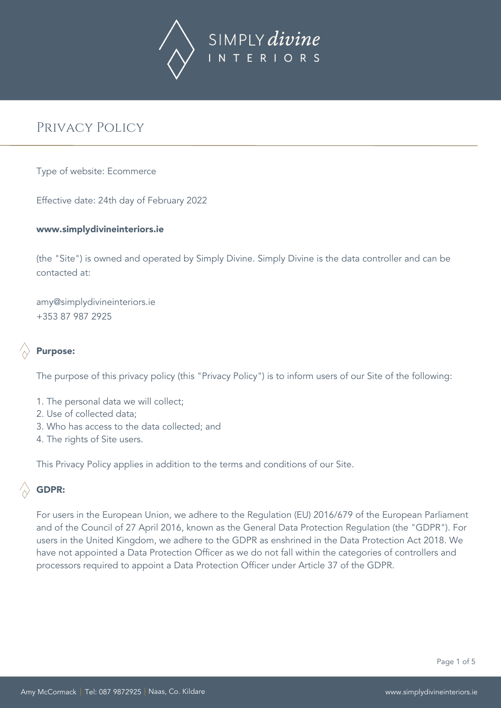

Type of website: Ecommerce

Effective date: 24th day of February 2022

#### www.simplydivineinteriors.ie

(the "Site") is owned and operated by Simply Divine. Simply Divine is the data controller and can be contacted at:

amy@simplydivineinteriors.ie +353 87 987 2925



# Purpose:

The purpose of this privacy policy (this "Privacy Policy") is to inform users of our Site of the following:

- 1. The personal data we will collect;
- 2. Use of collected data;
- 3. Who has access to the data collected; and
- 4. The rights of Site users.

This Privacy Policy applies in addition to the terms and conditions of our Site.

# GDPR:

For users in the European Union, we adhere to the Regulation (EU) 2016/679 of the European Parliament and of the Council of 27 April 2016, known as the General Data Protection Regulation (the "GDPR"). For users in the United Kingdom, we adhere to the GDPR as enshrined in the Data Protection Act 2018. We have not appointed a Data Protection Officer as we do not fall within the categories of controllers and processors required to appoint a Data Protection Officer under Article 37 of the GDPR.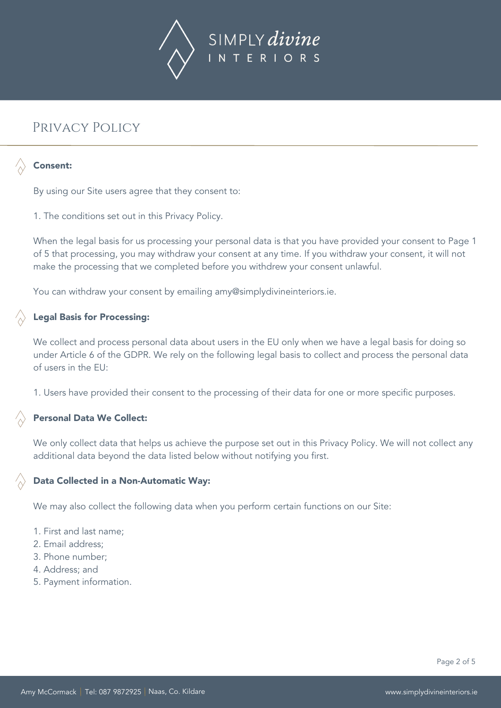

## Consent:

By using our Site users agree that they consent to:

1. The conditions set out in this Privacy Policy.

When the legal basis for us processing your personal data is that you have provided your consent to Page 1 of 5 that processing, you may withdraw your consent at any time. If you withdraw your consent, it will not make the processing that we completed before you withdrew your consent unlawful.

You can withdraw your consent by emailing amy@simplydivineinteriors.ie.

#### Legal Basis for Processing:

We collect and process personal data about users in the EU only when we have a legal basis for doing so under Article 6 of the GDPR. We rely on the following legal basis to collect and process the personal data of users in the EU:

1. Users have provided their consent to the processing of their data for one or more specific purposes.

#### Personal Data We Collect:

We only collect data that helps us achieve the purpose set out in this Privacy Policy. We will not collect any additional data beyond the data listed below without notifying you first.

#### Data Collected in a Non-Automatic Way:

We may also collect the following data when you perform certain functions on our Site:

- 1. First and last name;
- 2. Email address;
- 3. Phone number;
- 4. Address; and
- 5. Payment information.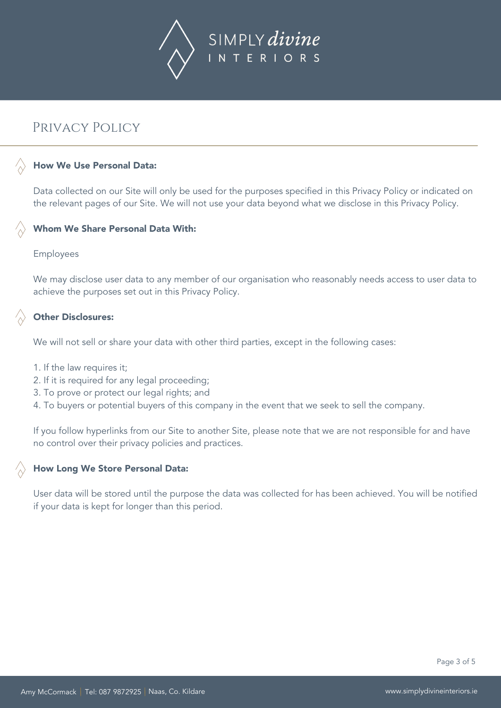

## How We Use Personal Data:

Data collected on our Site will only be used for the purposes specified in this Privacy Policy or indicated on the relevant pages of our Site. We will not use your data beyond what we disclose in this Privacy Policy.

#### Whom We Share Personal Data With:

#### Employees

We may disclose user data to any member of our organisation who reasonably needs access to user data to achieve the purposes set out in this Privacy Policy.

### Other Disclosures:

We will not sell or share your data with other third parties, except in the following cases:

- 1. If the law requires it;
- 2. If it is required for any legal proceeding;
- 3. To prove or protect our legal rights; and
- 4. To buyers or potential buyers of this company in the event that we seek to sell the company.

If you follow hyperlinks from our Site to another Site, please note that we are not responsible for and have no control over their privacy policies and practices.

# How Long We Store Personal Data:

User data will be stored until the purpose the data was collected for has been achieved. You will be notified if your data is kept for longer than this period.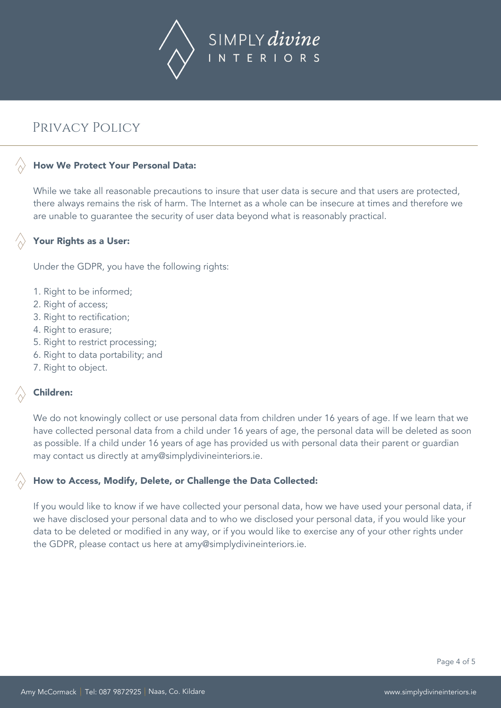

# How We Protect Your Personal Data:

While we take all reasonable precautions to insure that user data is secure and that users are protected, there always remains the risk of harm. The Internet as a whole can be insecure at times and therefore we are unable to guarantee the security of user data beyond what is reasonably practical.

### Your Rights as a User:

Under the GDPR, you have the following rights:

- 1. Right to be informed;
- 2. Right of access;
- 3. Right to rectification;
- 4. Right to erasure;
- 5. Right to restrict processing;
- 6. Right to data portability; and
- 7. Right to object.

#### Children:

We do not knowingly collect or use personal data from children under 16 years of age. If we learn that we have collected personal data from a child under 16 years of age, the personal data will be deleted as soon as possible. If a child under 16 years of age has provided us with personal data their parent or guardian may contact us directly at amy@simplydivineinteriors.ie.

#### How to Access, Modify, Delete, or Challenge the Data Collected:

If you would like to know if we have collected your personal data, how we have used your personal data, if we have disclosed your personal data and to who we disclosed your personal data, if you would like your data to be deleted or modified in any way, or if you would like to exercise any of your other rights under the GDPR, please contact us here at amy@simplydivineinteriors.ie.